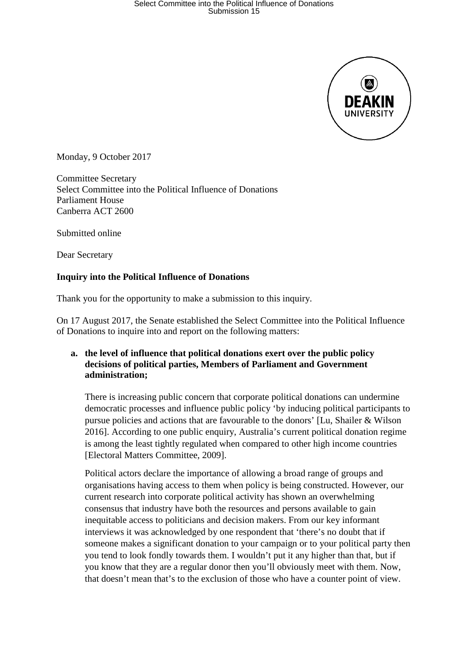

Monday, 9 October 2017

Committee Secretary Select Committee into the Political Influence of Donations Parliament House Canberra ACT 2600

Submitted online

Dear Secretary

### **Inquiry into the Political Influence of Donations**

Thank you for the opportunity to make a submission to this inquiry.

On 17 August 2017, the Senate established the Select Committee into the Political Influence of Donations to inquire into and report on the following matters:

### **a. the level of influence that political donations exert over the public policy decisions of political parties, Members of Parliament and Government administration;**

There is increasing public concern that corporate political donations can undermine democratic processes and influence public policy 'by inducing political participants to pursue policies and actions that are favourable to the donors' [Lu, Shailer & Wilson 2016]. According to one public enquiry, Australia's current political donation regime is among the least tightly regulated when compared to other high income countries [Electoral Matters Committee, 2009].

Political actors declare the importance of allowing a broad range of groups and organisations having access to them when policy is being constructed. However, our current research into corporate political activity has shown an overwhelming consensus that industry have both the resources and persons available to gain inequitable access to politicians and decision makers. From our key informant interviews it was acknowledged by one respondent that 'there's no doubt that if someone makes a significant donation to your campaign or to your political party then you tend to look fondly towards them. I wouldn't put it any higher than that, but if you know that they are a regular donor then you'll obviously meet with them. Now, that doesn't mean that's to the exclusion of those who have a counter point of view.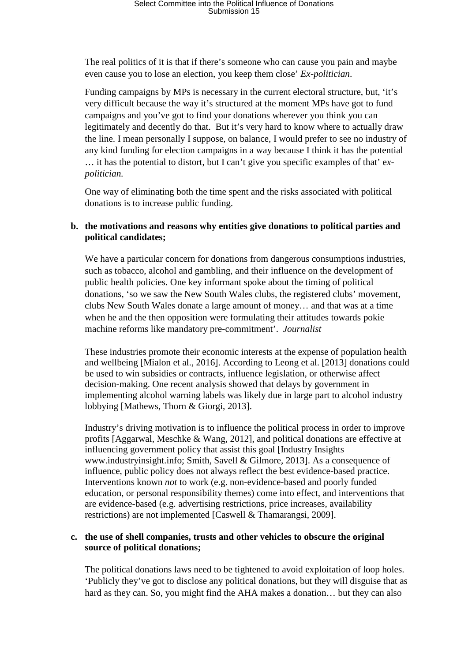The real politics of it is that if there's someone who can cause you pain and maybe even cause you to lose an election, you keep them close' *Ex-politician*.

Funding campaigns by MPs is necessary in the current electoral structure, but, 'it's very difficult because the way it's structured at the moment MPs have got to fund campaigns and you've got to find your donations wherever you think you can legitimately and decently do that. But it's very hard to know where to actually draw the line. I mean personally I suppose, on balance, I would prefer to see no industry of any kind funding for election campaigns in a way because I think it has the potential … it has the potential to distort, but I can't give you specific examples of that' e*xpolitician.*

One way of eliminating both the time spent and the risks associated with political donations is to increase public funding.

### **b. the motivations and reasons why entities give donations to political parties and political candidates;**

We have a particular concern for donations from dangerous consumptions industries, such as tobacco, alcohol and gambling, and their influence on the development of public health policies. One key informant spoke about the timing of political donations, 'so we saw the New South Wales clubs, the registered clubs' movement, clubs New South Wales donate a large amount of money… and that was at a time when he and the then opposition were formulating their attitudes towards pokie machine reforms like mandatory pre-commitment'. *Journalist*

These industries promote their economic interests at the expense of population health and wellbeing [Mialon et al., 2016]. According to Leong et al. [2013] donations could be used to win subsidies or contracts, influence legislation, or otherwise affect decision-making. One recent analysis showed that delays by government in implementing alcohol warning labels was likely due in large part to alcohol industry lobbying [Mathews, Thorn & Giorgi, 2013].

Industry's driving motivation is to influence the political process in order to improve profits [Aggarwal, Meschke & Wang, 2012], and political donations are effective at influencing government policy that assist this goal [Industry Insights www.industryinsight.info; Smith, Savell & Gilmore, 2013]. As a consequence of influence, public policy does not always reflect the best evidence-based practice. Interventions known *not* to work (e.g. non-evidence-based and poorly funded education, or personal responsibility themes) come into effect, and interventions that are evidence-based (e.g. advertising restrictions, price increases, availability restrictions) are not implemented [Caswell & Thamarangsi, 2009].

### **c. the use of shell companies, trusts and other vehicles to obscure the original source of political donations;**

The political donations laws need to be tightened to avoid exploitation of loop holes. 'Publicly they've got to disclose any political donations, but they will disguise that as hard as they can. So, you might find the AHA makes a donation… but they can also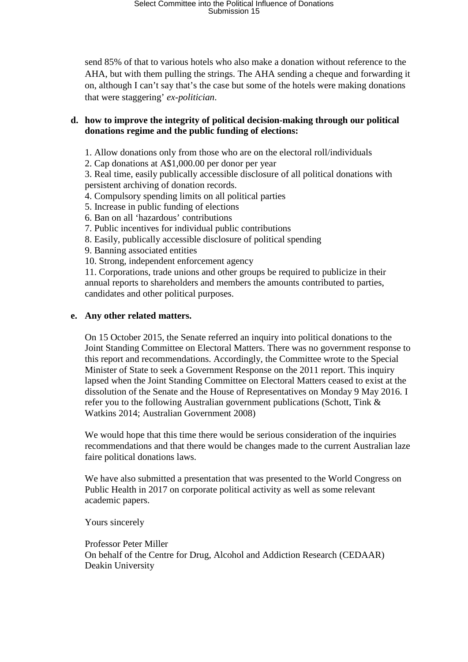## Select Committee into the Political Influence of Donations Submission 15

send 85% of that to various hotels who also make a donation without reference to the AHA, but with them pulling the strings. The AHA sending a cheque and forwarding it on, although I can't say that's the case but some of the hotels were making donations that were staggering' *ex-politician*.

#### **d. how to improve the integrity of political decision-making through our political donations regime and the public funding of elections:**

1. Allow donations only from those who are on the electoral roll/individuals

2. Cap donations at A\$1,000.00 per donor per year

3. Real time, easily publically accessible disclosure of all political donations with persistent archiving of donation records.

- 4. Compulsory spending limits on all political parties
- 5. Increase in public funding of elections
- 6. Ban on all 'hazardous' contributions
- 7. Public incentives for individual public contributions
- 8. Easily, publically accessible disclosure of political spending
- 9. Banning associated entities
- 10. Strong, independent enforcement agency

11. Corporations, trade unions and other groups be required to publicize in their annual reports to shareholders and members the amounts contributed to parties, candidates and other political purposes.

#### **e. Any other related matters.**

On 15 October 2015, the Senate referred an inquiry into political donations to the Joint Standing Committee on Electoral Matters. There was no government response to this report and recommendations. Accordingly, the Committee wrote to the Special Minister of State to seek a Government Response on the 2011 report. This inquiry lapsed when the Joint Standing Committee on Electoral Matters ceased to exist at the dissolution of the Senate and the House of Representatives on Monday 9 May 2016. I refer you to the following Australian government publications (Schott, Tink & Watkins 2014; Australian Government 2008)

We would hope that this time there would be serious consideration of the inquiries recommendations and that there would be changes made to the current Australian laze faire political donations laws.

We have also submitted a presentation that was presented to the World Congress on Public Health in 2017 on corporate political activity as well as some relevant academic papers.

Yours sincerely

Professor Peter Miller On behalf of the Centre for Drug, Alcohol and Addiction Research (CEDAAR) Deakin University